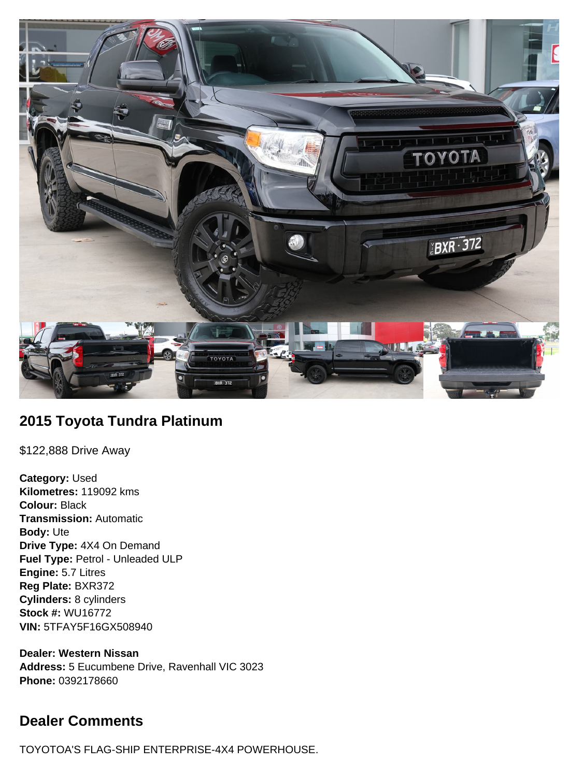

# **2015 Toyota Tundra Platinum**

\$122,888 Drive Away

**Category:** Used **Kilometres:** 119092 kms **Colour:** Black **Transmission:** Automatic **Body:** Ute **Drive Type:** 4X4 On Demand **Fuel Type:** Petrol - Unleaded ULP **Engine:** 5.7 Litres **Reg Plate:** BXR372 **Cylinders:** 8 cylinders **Stock #:** WU16772 **VIN:** 5TFAY5F16GX508940

**Dealer: Western Nissan Address:** 5 Eucumbene Drive, Ravenhall VIC 3023 **Phone:** 0392178660

# **Dealer Comments**

TOYOTOA'S FLAG-SHIP ENTERPRISE-4X4 POWERHOUSE.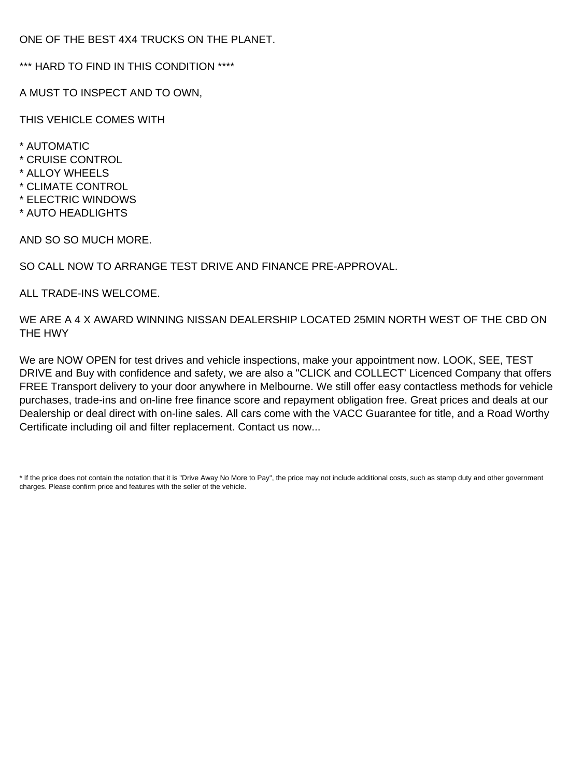ONE OF THE BEST 4X4 TRUCKS ON THE PLANET.

\*\*\* HARD TO FIND IN THIS CONDITION \*\*\*\*

A MUST TO INSPECT AND TO OWN,

THIS VEHICLE COMES WITH

- \* AUTOMATIC
- \* CRUISE CONTROL
- \* ALLOY WHEELS
- \* CLIMATE CONTROL
- \* ELECTRIC WINDOWS
- \* AUTO HEADLIGHTS

AND SO SO MUCH MORE.

SO CALL NOW TO ARRANGE TEST DRIVE AND FINANCE PRE-APPROVAL.

ALL TRADE-INS WELCOME.

WE ARE A 4 X AWARD WINNING NISSAN DEALERSHIP LOCATED 25MIN NORTH WEST OF THE CBD ON THE HWY

We are NOW OPEN for test drives and vehicle inspections, make your appointment now. LOOK, SEE, TEST DRIVE and Buy with confidence and safety, we are also a "CLICK and COLLECT' Licenced Company that offers FREE Transport delivery to your door anywhere in Melbourne. We still offer easy contactless methods for vehicle purchases, trade-ins and on-line free finance score and repayment obligation free. Great prices and deals at our Dealership or deal direct with on-line sales. All cars come with the VACC Guarantee for title, and a Road Worthy Certificate including oil and filter replacement. Contact us now...

\* If the price does not contain the notation that it is "Drive Away No More to Pay", the price may not include additional costs, such as stamp duty and other government charges. Please confirm price and features with the seller of the vehicle.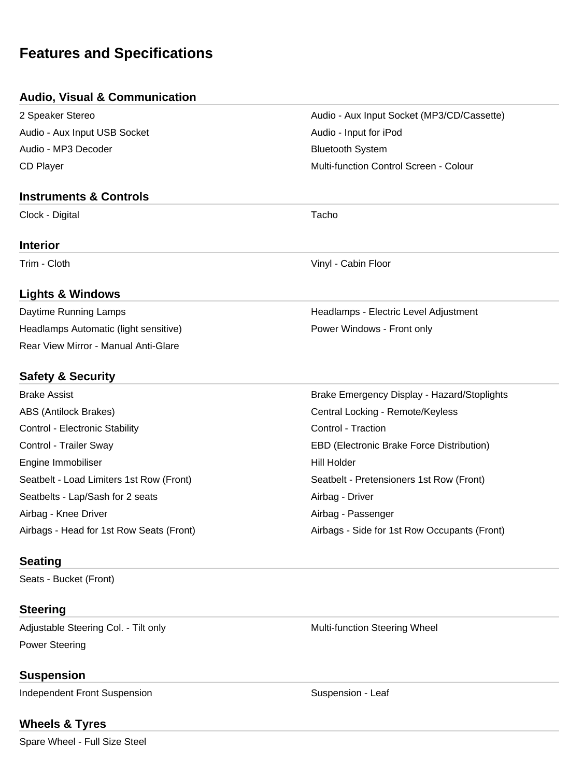# **Features and Specifications**

### **Audio, Visual & Communication**

| 2 Speaker Stereo                         | Audio - Aux Input Socket (MP3/CD/Cassette)   |
|------------------------------------------|----------------------------------------------|
| Audio - Aux Input USB Socket             | Audio - Input for iPod                       |
| Audio - MP3 Decoder                      | <b>Bluetooth System</b>                      |
| <b>CD Player</b>                         | Multi-function Control Screen - Colour       |
| <b>Instruments &amp; Controls</b>        |                                              |
| Clock - Digital                          | Tacho                                        |
| <b>Interior</b>                          |                                              |
| Trim - Cloth                             | Vinyl - Cabin Floor                          |
| <b>Lights &amp; Windows</b>              |                                              |
| Daytime Running Lamps                    | Headlamps - Electric Level Adjustment        |
| Headlamps Automatic (light sensitive)    | Power Windows - Front only                   |
| Rear View Mirror - Manual Anti-Glare     |                                              |
| <b>Safety &amp; Security</b>             |                                              |
| <b>Brake Assist</b>                      | Brake Emergency Display - Hazard/Stoplights  |
| ABS (Antilock Brakes)                    | Central Locking - Remote/Keyless             |
| Control - Electronic Stability           | Control - Traction                           |
| Control - Trailer Sway                   | EBD (Electronic Brake Force Distribution)    |
| Engine Immobiliser                       | <b>Hill Holder</b>                           |
| Seatbelt - Load Limiters 1st Row (Front) | Seatbelt - Pretensioners 1st Row (Front)     |
| Seatbelts - Lap/Sash for 2 seats         | Airbag - Driver                              |
| Airbag - Knee Driver                     | Airbag - Passenger                           |
| Airbags - Head for 1st Row Seats (Front) | Airbags - Side for 1st Row Occupants (Front) |
|                                          |                                              |

### **Seating**

Seats - Bucket (Front)

## **Steering**

Adjustable Steering Col. - Tilt only Multi-function Steering Wheel Power Steering

# **Suspension**

Independent Front Suspension Suspension Suspension - Leaf

# **Wheels & Tyres**

Spare Wheel - Full Size Steel